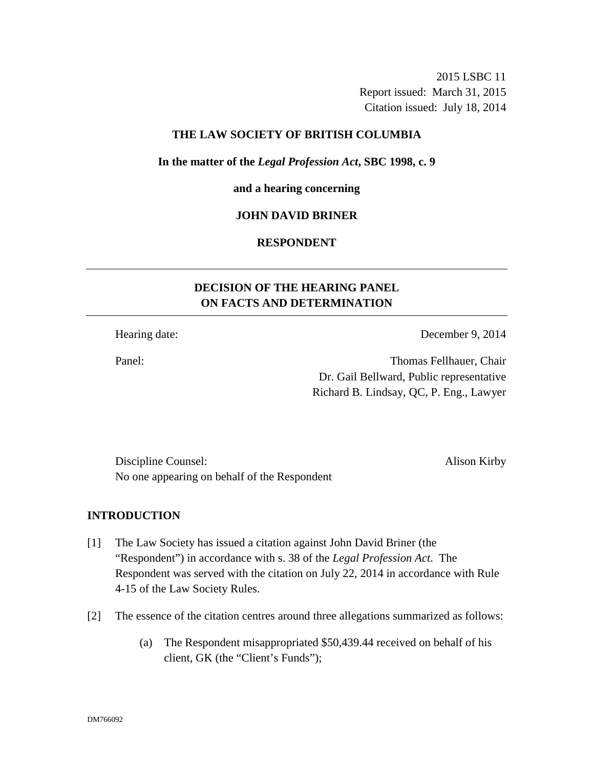2015 LSBC 11 Report issued: March 31, 2015 Citation issued: July 18, 2014

### **THE LAW SOCIETY OF BRITISH COLUMBIA**

#### **In the matter of the** *Legal Profession Act***, SBC 1998, c. 9**

#### **and a hearing concerning**

### **JOHN DAVID BRINER**

### **RESPONDENT**

# **DECISION OF THE HEARING PANEL ON FACTS AND DETERMINATION**

Hearing date: December 9, 2014

Panel: Thomas Fellhauer, Chair Dr. Gail Bellward, Public representative Richard B. Lindsay, QC, P. Eng., Lawyer

Discipline Counsel: Alison Kirby No one appearing on behalf of the Respondent

# **INTRODUCTION**

- [1] The Law Society has issued a citation against John David Briner (the "Respondent") in accordance with s. 38 of the *Legal Profession Act*. The Respondent was served with the citation on July 22, 2014 in accordance with Rule 4-15 of the Law Society Rules.
- [2] The essence of the citation centres around three allegations summarized as follows:
	- (a) The Respondent misappropriated \$50,439.44 received on behalf of his client, GK (the "Client's Funds");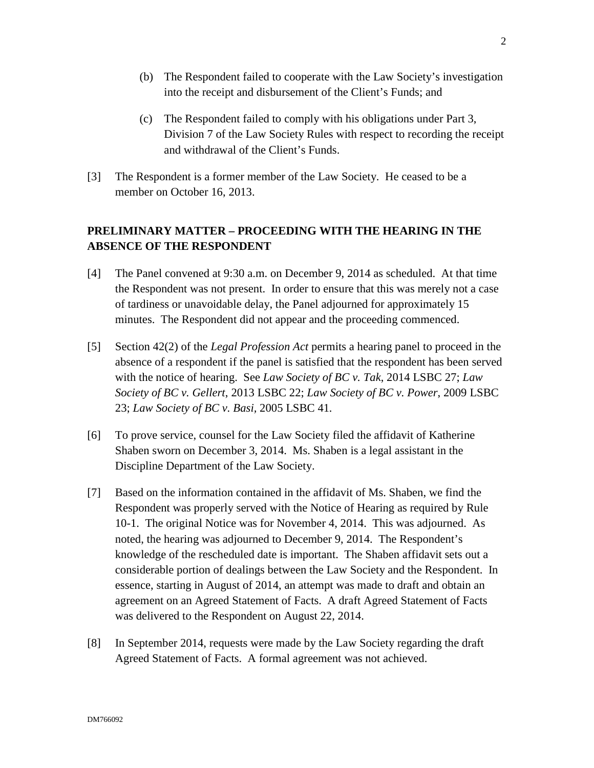- (b) The Respondent failed to cooperate with the Law Society's investigation into the receipt and disbursement of the Client's Funds; and
- (c) The Respondent failed to comply with his obligations under Part 3, Division 7 of the Law Society Rules with respect to recording the receipt and withdrawal of the Client's Funds.
- [3] The Respondent is a former member of the Law Society. He ceased to be a member on October 16, 2013.

# **PRELIMINARY MATTER – PROCEEDING WITH THE HEARING IN THE ABSENCE OF THE RESPONDENT**

- [4] The Panel convened at 9:30 a.m. on December 9, 2014 as scheduled. At that time the Respondent was not present. In order to ensure that this was merely not a case of tardiness or unavoidable delay, the Panel adjourned for approximately 15 minutes. The Respondent did not appear and the proceeding commenced.
- [5] Section 42(2) of the *Legal Profession Act* permits a hearing panel to proceed in the absence of a respondent if the panel is satisfied that the respondent has been served with the notice of hearing. See *Law Society of BC v. Tak*, 2014 LSBC 27; *Law Society of BC v. Gellert*, 2013 LSBC 22; *Law Society of BC v. Power*, 2009 LSBC 23; *Law Society of BC v. Basi,* 2005 LSBC 41*.*
- [6] To prove service, counsel for the Law Society filed the affidavit of Katherine Shaben sworn on December 3, 2014. Ms. Shaben is a legal assistant in the Discipline Department of the Law Society.
- [7] Based on the information contained in the affidavit of Ms. Shaben, we find the Respondent was properly served with the Notice of Hearing as required by Rule 10-1. The original Notice was for November 4, 2014. This was adjourned. As noted, the hearing was adjourned to December 9, 2014. The Respondent's knowledge of the rescheduled date is important. The Shaben affidavit sets out a considerable portion of dealings between the Law Society and the Respondent. In essence, starting in August of 2014, an attempt was made to draft and obtain an agreement on an Agreed Statement of Facts. A draft Agreed Statement of Facts was delivered to the Respondent on August 22, 2014.
- [8] In September 2014, requests were made by the Law Society regarding the draft Agreed Statement of Facts. A formal agreement was not achieved.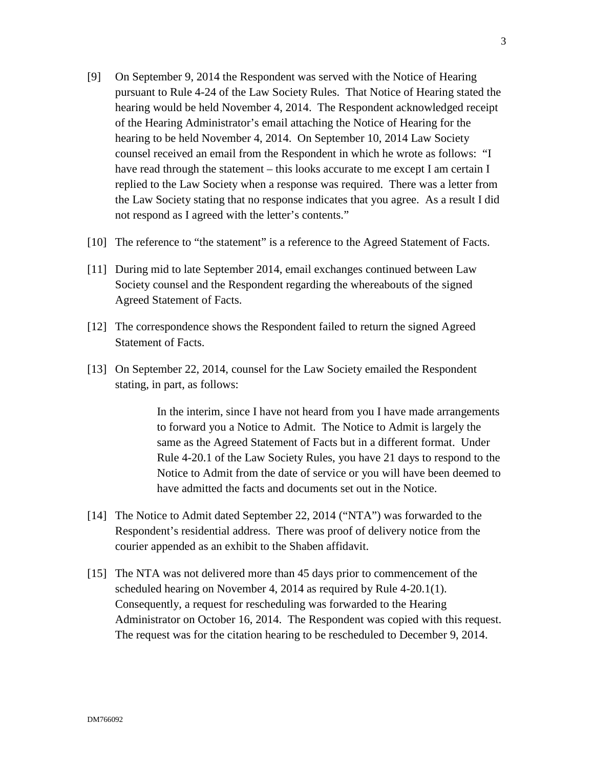- [9] On September 9, 2014 the Respondent was served with the Notice of Hearing pursuant to Rule 4-24 of the Law Society Rules. That Notice of Hearing stated the hearing would be held November 4, 2014. The Respondent acknowledged receipt of the Hearing Administrator's email attaching the Notice of Hearing for the hearing to be held November 4, 2014. On September 10, 2014 Law Society counsel received an email from the Respondent in which he wrote as follows: "I have read through the statement – this looks accurate to me except I am certain I replied to the Law Society when a response was required. There was a letter from the Law Society stating that no response indicates that you agree. As a result I did not respond as I agreed with the letter's contents."
- [10] The reference to "the statement" is a reference to the Agreed Statement of Facts.
- [11] During mid to late September 2014, email exchanges continued between Law Society counsel and the Respondent regarding the whereabouts of the signed Agreed Statement of Facts.
- [12] The correspondence shows the Respondent failed to return the signed Agreed Statement of Facts.
- [13] On September 22, 2014, counsel for the Law Society emailed the Respondent stating, in part, as follows:

In the interim, since I have not heard from you I have made arrangements to forward you a Notice to Admit. The Notice to Admit is largely the same as the Agreed Statement of Facts but in a different format. Under Rule 4-20.1 of the Law Society Rules, you have 21 days to respond to the Notice to Admit from the date of service or you will have been deemed to have admitted the facts and documents set out in the Notice.

- [14] The Notice to Admit dated September 22, 2014 ("NTA") was forwarded to the Respondent's residential address. There was proof of delivery notice from the courier appended as an exhibit to the Shaben affidavit.
- [15] The NTA was not delivered more than 45 days prior to commencement of the scheduled hearing on November 4, 2014 as required by Rule 4-20.1(1). Consequently, a request for rescheduling was forwarded to the Hearing Administrator on October 16, 2014. The Respondent was copied with this request. The request was for the citation hearing to be rescheduled to December 9, 2014.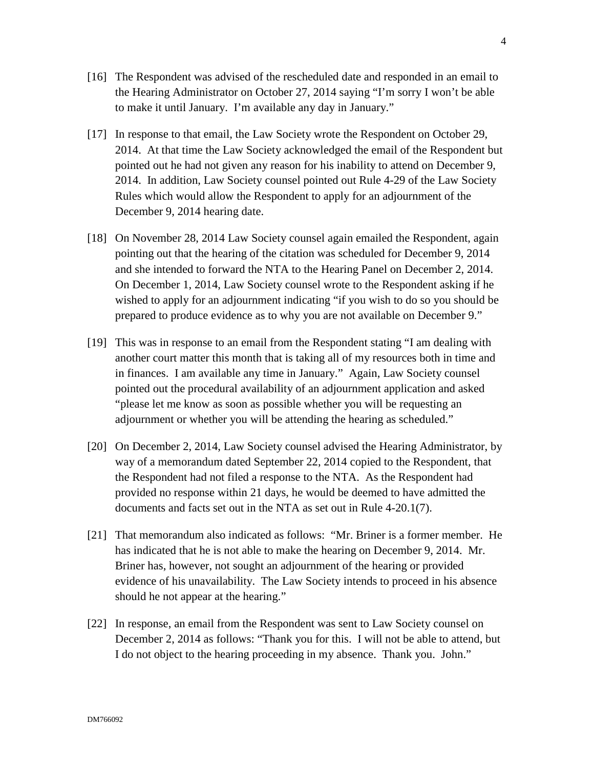- [16] The Respondent was advised of the rescheduled date and responded in an email to the Hearing Administrator on October 27, 2014 saying "I'm sorry I won't be able to make it until January. I'm available any day in January."
- [17] In response to that email, the Law Society wrote the Respondent on October 29, 2014. At that time the Law Society acknowledged the email of the Respondent but pointed out he had not given any reason for his inability to attend on December 9, 2014. In addition, Law Society counsel pointed out Rule 4-29 of the Law Society Rules which would allow the Respondent to apply for an adjournment of the December 9, 2014 hearing date.
- [18] On November 28, 2014 Law Society counsel again emailed the Respondent, again pointing out that the hearing of the citation was scheduled for December 9, 2014 and she intended to forward the NTA to the Hearing Panel on December 2, 2014. On December 1, 2014, Law Society counsel wrote to the Respondent asking if he wished to apply for an adjournment indicating "if you wish to do so you should be prepared to produce evidence as to why you are not available on December 9."
- [19] This was in response to an email from the Respondent stating "I am dealing with another court matter this month that is taking all of my resources both in time and in finances. I am available any time in January." Again, Law Society counsel pointed out the procedural availability of an adjournment application and asked "please let me know as soon as possible whether you will be requesting an adjournment or whether you will be attending the hearing as scheduled."
- [20] On December 2, 2014, Law Society counsel advised the Hearing Administrator, by way of a memorandum dated September 22, 2014 copied to the Respondent, that the Respondent had not filed a response to the NTA. As the Respondent had provided no response within 21 days, he would be deemed to have admitted the documents and facts set out in the NTA as set out in Rule 4-20.1(7).
- [21] That memorandum also indicated as follows: "Mr. Briner is a former member. He has indicated that he is not able to make the hearing on December 9, 2014. Mr. Briner has, however, not sought an adjournment of the hearing or provided evidence of his unavailability. The Law Society intends to proceed in his absence should he not appear at the hearing."
- [22] In response, an email from the Respondent was sent to Law Society counsel on December 2, 2014 as follows: "Thank you for this. I will not be able to attend, but I do not object to the hearing proceeding in my absence. Thank you. John."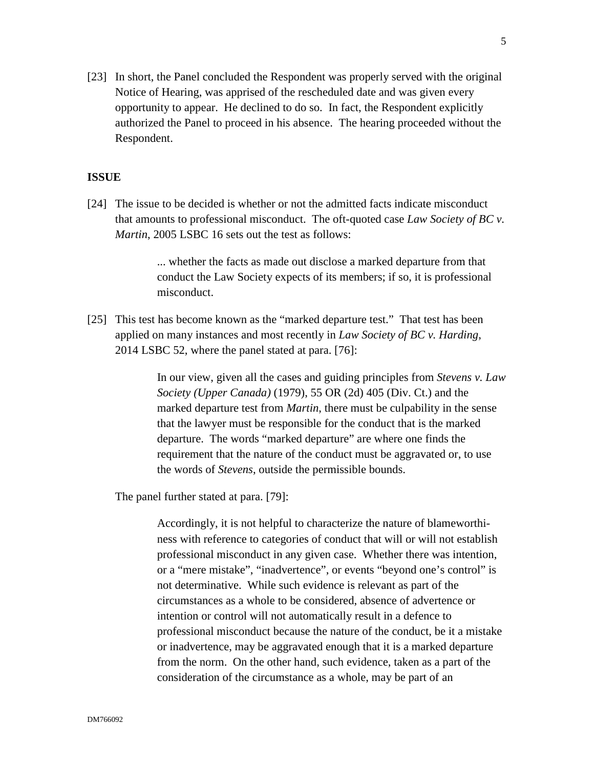[23] In short, the Panel concluded the Respondent was properly served with the original Notice of Hearing, was apprised of the rescheduled date and was given every opportunity to appear. He declined to do so. In fact, the Respondent explicitly authorized the Panel to proceed in his absence. The hearing proceeded without the Respondent.

#### **ISSUE**

[24] The issue to be decided is whether or not the admitted facts indicate misconduct that amounts to professional misconduct. The oft-quoted case *Law Society of BC v. Martin*, 2005 LSBC 16 sets out the test as follows:

> ... whether the facts as made out disclose a marked departure from that conduct the Law Society expects of its members; if so, it is professional misconduct.

[25] This test has become known as the "marked departure test." That test has been applied on many instances and most recently in *Law Society of BC v. Harding*, 2014 LSBC 52, where the panel stated at para. [76]:

> In our view, given all the cases and guiding principles from *Stevens v. Law Society (Upper Canada)* (1979), 55 OR (2d) 405 (Div. Ct.) and the marked departure test from *Martin*, there must be culpability in the sense that the lawyer must be responsible for the conduct that is the marked departure. The words "marked departure" are where one finds the requirement that the nature of the conduct must be aggravated or, to use the words of *Stevens*, outside the permissible bounds.

The panel further stated at para. [79]:

Accordingly, it is not helpful to characterize the nature of blameworthiness with reference to categories of conduct that will or will not establish professional misconduct in any given case. Whether there was intention, or a "mere mistake", "inadvertence", or events "beyond one's control" is not determinative. While such evidence is relevant as part of the circumstances as a whole to be considered, absence of advertence or intention or control will not automatically result in a defence to professional misconduct because the nature of the conduct, be it a mistake or inadvertence, may be aggravated enough that it is a marked departure from the norm. On the other hand, such evidence, taken as a part of the consideration of the circumstance as a whole, may be part of an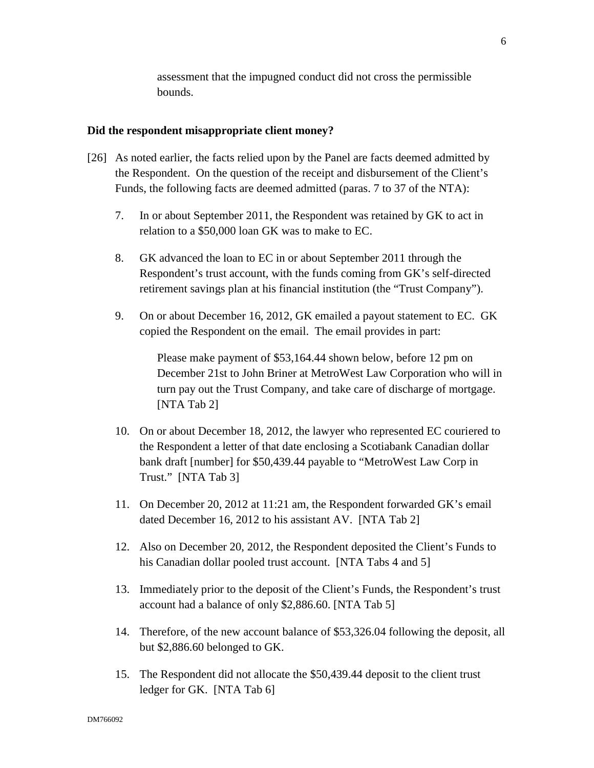assessment that the impugned conduct did not cross the permissible bounds.

#### **Did the respondent misappropriate client money?**

- [26] As noted earlier, the facts relied upon by the Panel are facts deemed admitted by the Respondent. On the question of the receipt and disbursement of the Client's Funds, the following facts are deemed admitted (paras. 7 to 37 of the NTA):
	- 7. In or about September 2011, the Respondent was retained by GK to act in relation to a \$50,000 loan GK was to make to EC.
	- 8. GK advanced the loan to EC in or about September 2011 through the Respondent's trust account, with the funds coming from GK's self-directed retirement savings plan at his financial institution (the "Trust Company").
	- 9. On or about December 16, 2012, GK emailed a payout statement to EC. GK copied the Respondent on the email. The email provides in part:

Please make payment of \$53,164.44 shown below, before 12 pm on December 21st to John Briner at MetroWest Law Corporation who will in turn pay out the Trust Company, and take care of discharge of mortgage. [NTA Tab 2]

- 10. On or about December 18, 2012, the lawyer who represented EC couriered to the Respondent a letter of that date enclosing a Scotiabank Canadian dollar bank draft [number] for \$50,439.44 payable to "MetroWest Law Corp in Trust." [NTA Tab 3]
- 11. On December 20, 2012 at 11:21 am, the Respondent forwarded GK's email dated December 16, 2012 to his assistant AV. [NTA Tab 2]
- 12. Also on December 20, 2012, the Respondent deposited the Client's Funds to his Canadian dollar pooled trust account. [NTA Tabs 4 and 5]
- 13. Immediately prior to the deposit of the Client's Funds, the Respondent's trust account had a balance of only \$2,886.60. [NTA Tab 5]
- 14. Therefore, of the new account balance of \$53,326.04 following the deposit, all but \$2,886.60 belonged to GK.
- 15. The Respondent did not allocate the \$50,439.44 deposit to the client trust ledger for GK. [NTA Tab 6]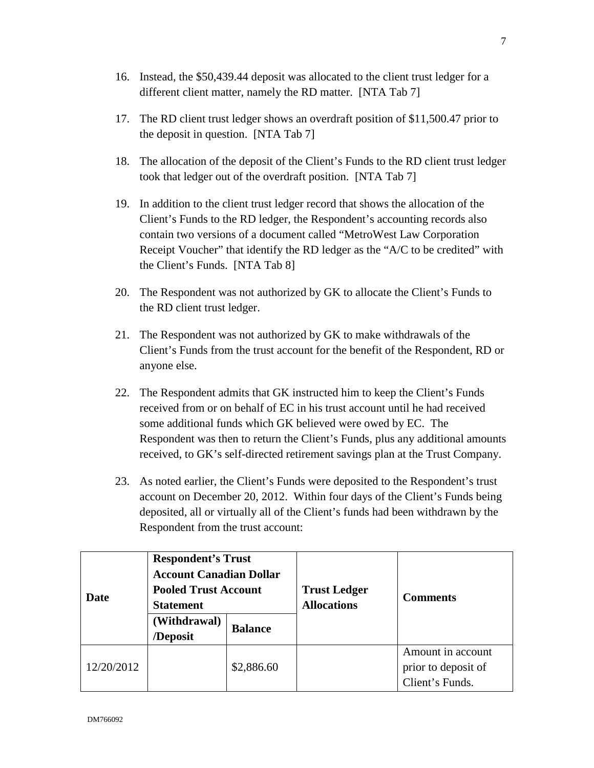- 16. Instead, the \$50,439.44 deposit was allocated to the client trust ledger for a different client matter, namely the RD matter. [NTA Tab 7]
- 17. The RD client trust ledger shows an overdraft position of \$11,500.47 prior to the deposit in question. [NTA Tab 7]
- 18. The allocation of the deposit of the Client's Funds to the RD client trust ledger took that ledger out of the overdraft position. [NTA Tab 7]
- 19. In addition to the client trust ledger record that shows the allocation of the Client's Funds to the RD ledger, the Respondent's accounting records also contain two versions of a document called "MetroWest Law Corporation Receipt Voucher" that identify the RD ledger as the "A/C to be credited" with the Client's Funds. [NTA Tab 8]
- 20. The Respondent was not authorized by GK to allocate the Client's Funds to the RD client trust ledger.
- 21. The Respondent was not authorized by GK to make withdrawals of the Client's Funds from the trust account for the benefit of the Respondent, RD or anyone else.
- 22. The Respondent admits that GK instructed him to keep the Client's Funds received from or on behalf of EC in his trust account until he had received some additional funds which GK believed were owed by EC. The Respondent was then to return the Client's Funds, plus any additional amounts received, to GK's self-directed retirement savings plan at the Trust Company.
- 23. As noted earlier, the Client's Funds were deposited to the Respondent's trust account on December 20, 2012. Within four days of the Client's Funds being deposited, all or virtually all of the Client's funds had been withdrawn by the Respondent from the trust account:

| Date       | <b>Respondent's Trust</b><br><b>Account Canadian Dollar</b><br><b>Pooled Trust Account</b><br><b>Statement</b> |                | <b>Trust Ledger</b><br><b>Allocations</b> | <b>Comments</b>                                             |
|------------|----------------------------------------------------------------------------------------------------------------|----------------|-------------------------------------------|-------------------------------------------------------------|
|            | (Withdrawal)<br>/Deposit                                                                                       | <b>Balance</b> |                                           |                                                             |
| 12/20/2012 |                                                                                                                | \$2,886.60     |                                           | Amount in account<br>prior to deposit of<br>Client's Funds. |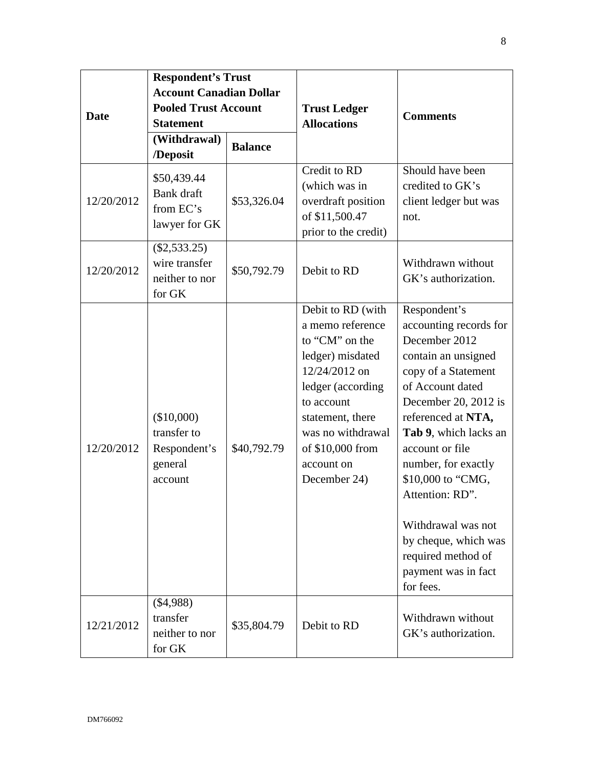| <b>Date</b><br>12/20/2012 | <b>Respondent's Trust</b><br><b>Account Canadian Dollar</b><br><b>Pooled Trust Account</b><br><b>Statement</b><br>(Withdrawal)<br>/Deposit<br>\$50,439.44<br>Bank draft<br>from EC's<br>lawyer for GK | <b>Balance</b><br>\$53,326.04 | <b>Trust Ledger</b><br><b>Allocations</b><br>Credit to RD<br>(which was in<br>overdraft position<br>of \$11,500.47                                                                                                         | <b>Comments</b><br>Should have been<br>credited to GK's<br>client ledger but was<br>not.                                                                                                                                                                                                                                                                                                   |
|---------------------------|-------------------------------------------------------------------------------------------------------------------------------------------------------------------------------------------------------|-------------------------------|----------------------------------------------------------------------------------------------------------------------------------------------------------------------------------------------------------------------------|--------------------------------------------------------------------------------------------------------------------------------------------------------------------------------------------------------------------------------------------------------------------------------------------------------------------------------------------------------------------------------------------|
| 12/20/2012                | $(\$2,533.25)$<br>wire transfer<br>neither to nor<br>for GK                                                                                                                                           | \$50,792.79                   | prior to the credit)<br>Debit to RD                                                                                                                                                                                        | Withdrawn without<br>GK's authorization.                                                                                                                                                                                                                                                                                                                                                   |
| 12/20/2012                | (\$10,000)<br>transfer to<br>Respondent's<br>general<br>account                                                                                                                                       | \$40,792.79                   | Debit to RD (with<br>a memo reference<br>to "CM" on the<br>ledger) misdated<br>12/24/2012 on<br>ledger (according<br>to account<br>statement, there<br>was no withdrawal<br>of \$10,000 from<br>account on<br>December 24) | Respondent's<br>accounting records for<br>December 2012<br>contain an unsigned<br>copy of a Statement<br>of Account dated<br>December 20, 2012 is<br>referenced at NTA,<br>Tab 9, which lacks an<br>account or file<br>number, for exactly<br>\$10,000 to "CMG,<br>Attention: RD".<br>Withdrawal was not<br>by cheque, which was<br>required method of<br>payment was in fact<br>for fees. |
| 12/21/2012                | (\$4,988)<br>transfer<br>neither to nor<br>for GK                                                                                                                                                     | \$35,804.79                   | Debit to RD                                                                                                                                                                                                                | Withdrawn without<br>GK's authorization.                                                                                                                                                                                                                                                                                                                                                   |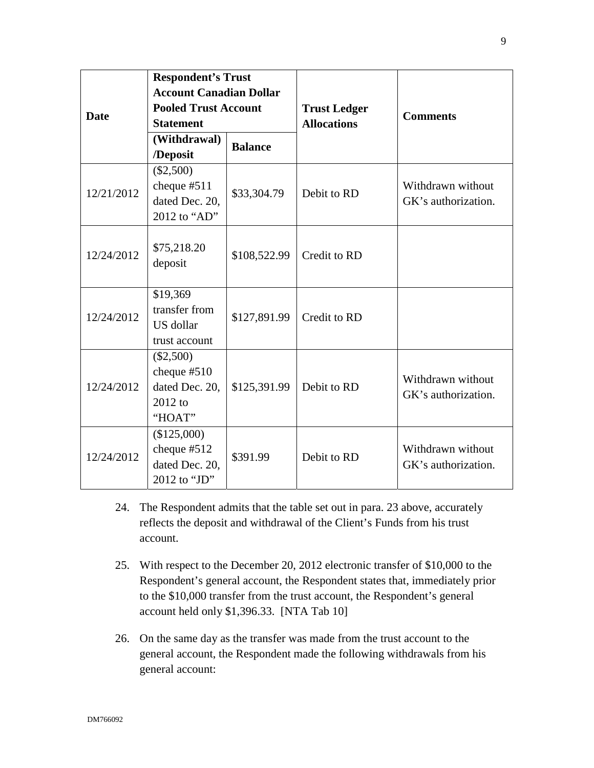| <b>Date</b> | <b>Respondent's Trust</b><br><b>Account Canadian Dollar</b><br><b>Pooled Trust Account</b><br><b>Statement</b> |                | <b>Trust Ledger</b><br><b>Allocations</b> | <b>Comments</b>                          |
|-------------|----------------------------------------------------------------------------------------------------------------|----------------|-------------------------------------------|------------------------------------------|
|             | (Withdrawal)<br>/Deposit                                                                                       | <b>Balance</b> |                                           |                                          |
| 12/21/2012  | $(\$2,500)$<br>cheque $#511$<br>dated Dec. 20,<br>2012 to "AD"                                                 | \$33,304.79    | Debit to RD                               | Withdrawn without<br>GK's authorization. |
| 12/24/2012  | \$75,218.20<br>deposit                                                                                         | \$108,522.99   | Credit to RD                              |                                          |
| 12/24/2012  | \$19,369<br>transfer from<br>US dollar<br>trust account                                                        | \$127,891.99   | Credit to RD                              |                                          |
| 12/24/2012  | $(\$2,500)$<br>cheque $#510$<br>dated Dec. 20,<br>2012 to<br>"HOAT"                                            | \$125,391.99   | Debit to RD                               | Withdrawn without<br>GK's authorization. |
| 12/24/2012  | (\$125,000)<br>cheque $#512$<br>dated Dec. 20,<br>2012 to "JD"                                                 | \$391.99       | Debit to RD                               | Withdrawn without<br>GK's authorization. |

- 24. The Respondent admits that the table set out in para. 23 above, accurately reflects the deposit and withdrawal of the Client's Funds from his trust account.
- 25. With respect to the December 20, 2012 electronic transfer of \$10,000 to the Respondent's general account, the Respondent states that, immediately prior to the \$10,000 transfer from the trust account, the Respondent's general account held only \$1,396.33. [NTA Tab 10]
- 26. On the same day as the transfer was made from the trust account to the general account, the Respondent made the following withdrawals from his general account: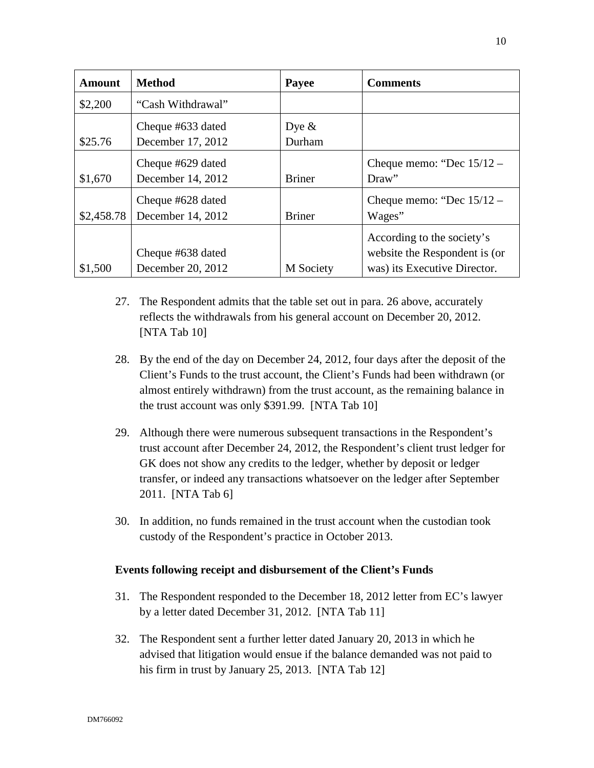| <b>Amount</b> | <b>Method</b>                          | Payee              | <b>Comments</b>                                                                             |
|---------------|----------------------------------------|--------------------|---------------------------------------------------------------------------------------------|
| \$2,200       | "Cash Withdrawal"                      |                    |                                                                                             |
| \$25.76       | Cheque #633 dated<br>December 17, 2012 | Dye $\&$<br>Durham |                                                                                             |
| \$1,670       | Cheque #629 dated<br>December 14, 2012 | <b>Briner</b>      | Cheque memo: "Dec $15/12$ -<br>Draw"                                                        |
| \$2,458.78    | Cheque #628 dated<br>December 14, 2012 | <b>Briner</b>      | Cheque memo: "Dec $15/12$ -<br>Wages"                                                       |
| \$1,500       | Cheque #638 dated<br>December 20, 2012 | M Society          | According to the society's<br>website the Respondent is (or<br>was) its Executive Director. |

- 27. The Respondent admits that the table set out in para. 26 above, accurately reflects the withdrawals from his general account on December 20, 2012. [NTA Tab 10]
- 28. By the end of the day on December 24, 2012, four days after the deposit of the Client's Funds to the trust account, the Client's Funds had been withdrawn (or almost entirely withdrawn) from the trust account, as the remaining balance in the trust account was only \$391.99. [NTA Tab 10]
- 29. Although there were numerous subsequent transactions in the Respondent's trust account after December 24, 2012, the Respondent's client trust ledger for GK does not show any credits to the ledger, whether by deposit or ledger transfer, or indeed any transactions whatsoever on the ledger after September 2011. [NTA Tab 6]
- 30. In addition, no funds remained in the trust account when the custodian took custody of the Respondent's practice in October 2013.

### **Events following receipt and disbursement of the Client's Funds**

- 31. The Respondent responded to the December 18, 2012 letter from EC's lawyer by a letter dated December 31, 2012. [NTA Tab 11]
- 32. The Respondent sent a further letter dated January 20, 2013 in which he advised that litigation would ensue if the balance demanded was not paid to his firm in trust by January 25, 2013. [NTA Tab 12]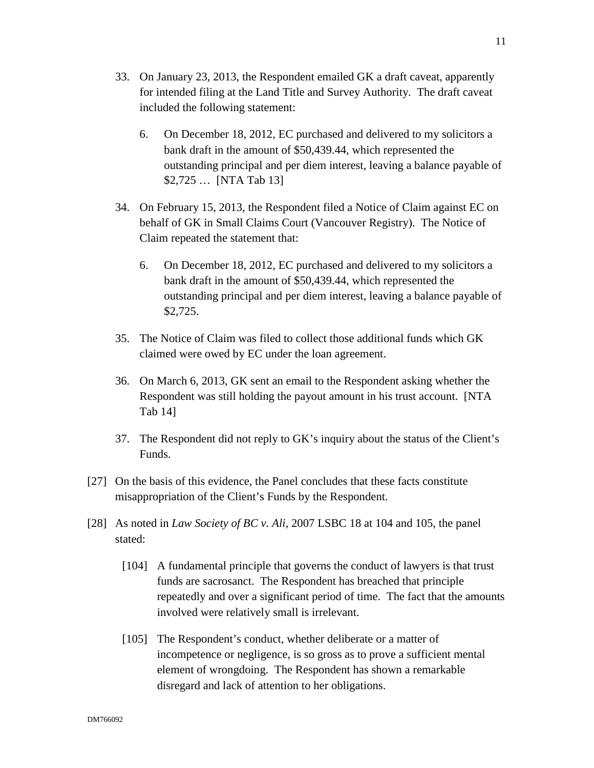- 6. On December 18, 2012, EC purchased and delivered to my solicitors a bank draft in the amount of \$50,439.44, which represented the outstanding principal and per diem interest, leaving a balance payable of \$2,725 … [NTA Tab 13]
- 34. On February 15, 2013, the Respondent filed a Notice of Claim against EC on behalf of GK in Small Claims Court (Vancouver Registry). The Notice of Claim repeated the statement that:
	- 6. On December 18, 2012, EC purchased and delivered to my solicitors a bank draft in the amount of \$50,439.44, which represented the outstanding principal and per diem interest, leaving a balance payable of \$2,725.
- 35. The Notice of Claim was filed to collect those additional funds which GK claimed were owed by EC under the loan agreement.
- 36. On March 6, 2013, GK sent an email to the Respondent asking whether the Respondent was still holding the payout amount in his trust account. [NTA Tab 14]
- 37. The Respondent did not reply to GK's inquiry about the status of the Client's Funds.
- [27] On the basis of this evidence, the Panel concludes that these facts constitute misappropriation of the Client's Funds by the Respondent.
- [28] As noted in *Law Society of BC v. Ali*, 2007 LSBC 18 at 104 and 105, the panel stated:
	- [104] A fundamental principle that governs the conduct of lawyers is that trust funds are sacrosanct. The Respondent has breached that principle repeatedly and over a significant period of time. The fact that the amounts involved were relatively small is irrelevant.
	- [105] The Respondent's conduct, whether deliberate or a matter of incompetence or negligence, is so gross as to prove a sufficient mental element of wrongdoing. The Respondent has shown a remarkable disregard and lack of attention to her obligations.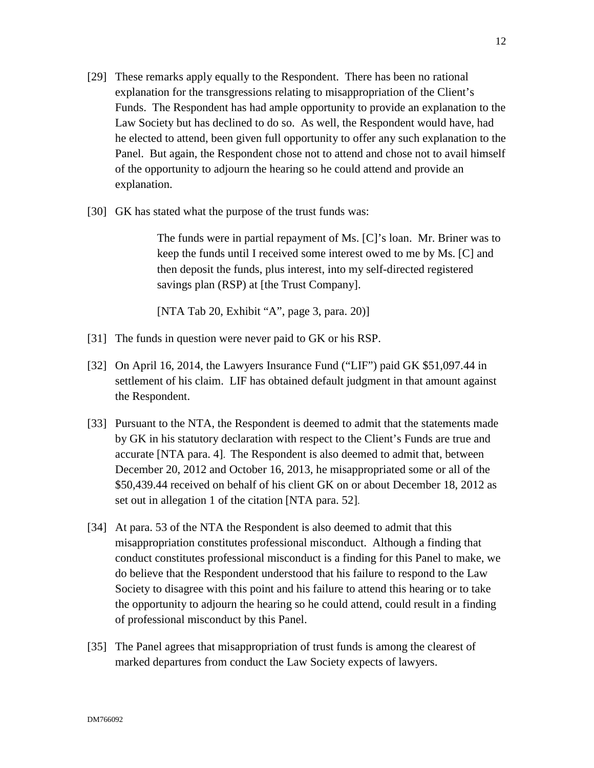- [29] These remarks apply equally to the Respondent. There has been no rational explanation for the transgressions relating to misappropriation of the Client's Funds. The Respondent has had ample opportunity to provide an explanation to the Law Society but has declined to do so. As well, the Respondent would have, had he elected to attend, been given full opportunity to offer any such explanation to the Panel. But again, the Respondent chose not to attend and chose not to avail himself of the opportunity to adjourn the hearing so he could attend and provide an explanation.
- [30] GK has stated what the purpose of the trust funds was:

The funds were in partial repayment of Ms. [C]'s loan. Mr. Briner was to keep the funds until I received some interest owed to me by Ms. [C] and then deposit the funds, plus interest, into my self-directed registered savings plan (RSP) at [the Trust Company].

[NTA Tab 20, Exhibit "A", page 3, para. 20)]

- [31] The funds in question were never paid to GK or his RSP.
- [32] On April 16, 2014, the Lawyers Insurance Fund ("LIF") paid GK \$51,097.44 in settlement of his claim. LIF has obtained default judgment in that amount against the Respondent.
- [33] Pursuant to the NTA, the Respondent is deemed to admit that the statements made by GK in his statutory declaration with respect to the Client's Funds are true and accurate [NTA para. 4]. The Respondent is also deemed to admit that, between December 20, 2012 and October 16, 2013, he misappropriated some or all of the \$50,439.44 received on behalf of his client GK on or about December 18, 2012 as set out in allegation 1 of the citation [NTA para. 52].
- [34] At para. 53 of the NTA the Respondent is also deemed to admit that this misappropriation constitutes professional misconduct. Although a finding that conduct constitutes professional misconduct is a finding for this Panel to make, we do believe that the Respondent understood that his failure to respond to the Law Society to disagree with this point and his failure to attend this hearing or to take the opportunity to adjourn the hearing so he could attend, could result in a finding of professional misconduct by this Panel.
- [35] The Panel agrees that misappropriation of trust funds is among the clearest of marked departures from conduct the Law Society expects of lawyers.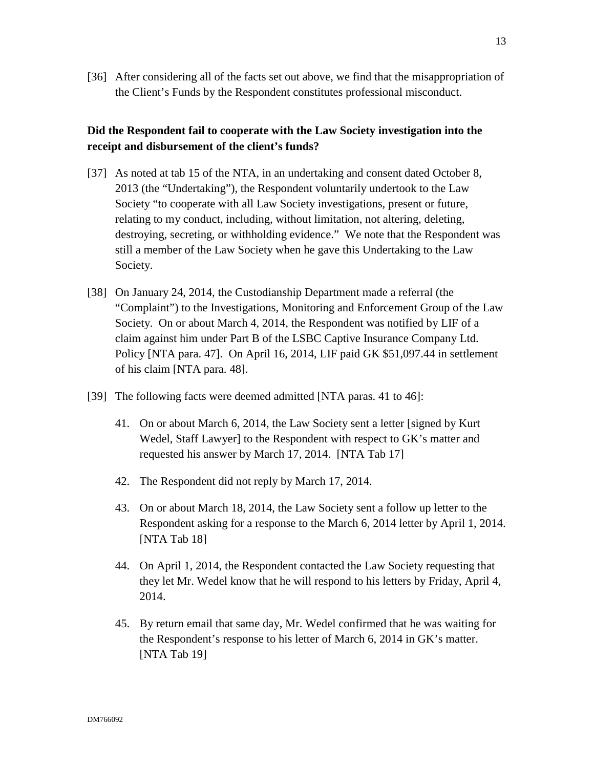[36] After considering all of the facts set out above, we find that the misappropriation of the Client's Funds by the Respondent constitutes professional misconduct.

## **Did the Respondent fail to cooperate with the Law Society investigation into the receipt and disbursement of the client's funds?**

- [37] As noted at tab 15 of the NTA, in an undertaking and consent dated October 8, 2013 (the "Undertaking"), the Respondent voluntarily undertook to the Law Society "to cooperate with all Law Society investigations, present or future, relating to my conduct, including, without limitation, not altering, deleting, destroying, secreting, or withholding evidence." We note that the Respondent was still a member of the Law Society when he gave this Undertaking to the Law Society.
- [38] On January 24, 2014, the Custodianship Department made a referral (the "Complaint") to the Investigations, Monitoring and Enforcement Group of the Law Society. On or about March 4, 2014, the Respondent was notified by LIF of a claim against him under Part B of the LSBC Captive Insurance Company Ltd. Policy [NTA para. 47]. On April 16, 2014, LIF paid GK \$51,097.44 in settlement of his claim [NTA para. 48].
- [39] The following facts were deemed admitted [NTA paras. 41 to 46]:
	- 41. On or about March 6, 2014, the Law Society sent a letter [signed by Kurt Wedel, Staff Lawyer] to the Respondent with respect to GK's matter and requested his answer by March 17, 2014. [NTA Tab 17]
	- 42. The Respondent did not reply by March 17, 2014.
	- 43. On or about March 18, 2014, the Law Society sent a follow up letter to the Respondent asking for a response to the March 6, 2014 letter by April 1, 2014. [NTA Tab 18]
	- 44. On April 1, 2014, the Respondent contacted the Law Society requesting that they let Mr. Wedel know that he will respond to his letters by Friday, April 4, 2014.
	- 45. By return email that same day, Mr. Wedel confirmed that he was waiting for the Respondent's response to his letter of March 6, 2014 in GK's matter. [NTA Tab 19]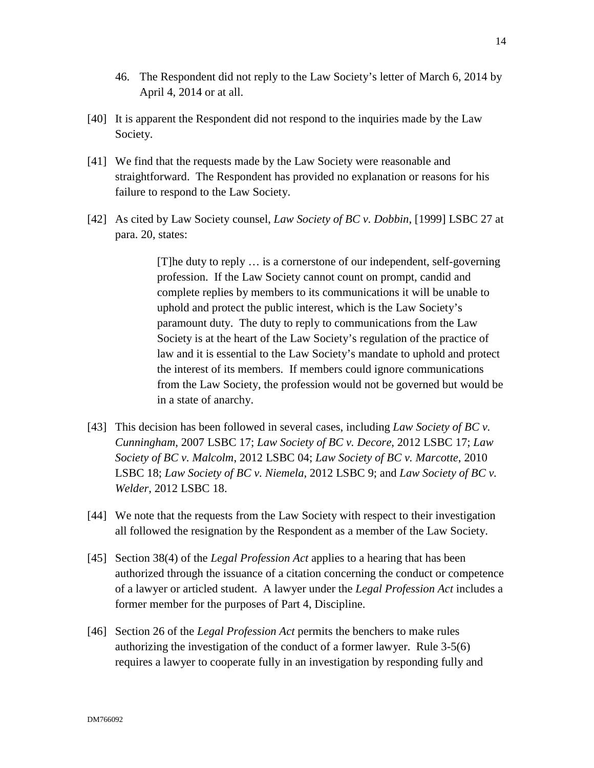- 46. The Respondent did not reply to the Law Society's letter of March 6, 2014 by April 4, 2014 or at all.
- [40] It is apparent the Respondent did not respond to the inquiries made by the Law Society.
- [41] We find that the requests made by the Law Society were reasonable and straightforward. The Respondent has provided no explanation or reasons for his failure to respond to the Law Society.
- [42] As cited by Law Society counsel, *Law Society of BC v. Dobbin*, [1999] LSBC 27 at para. 20, states:

[T]he duty to reply … is a cornerstone of our independent, self-governing profession. If the Law Society cannot count on prompt, candid and complete replies by members to its communications it will be unable to uphold and protect the public interest, which is the Law Society's paramount duty. The duty to reply to communications from the Law Society is at the heart of the Law Society's regulation of the practice of law and it is essential to the Law Society's mandate to uphold and protect the interest of its members. If members could ignore communications from the Law Society, the profession would not be governed but would be in a state of anarchy.

- [43] This decision has been followed in several cases, including *Law Society of BC v. Cunningham*, 2007 LSBC 17; *Law Society of BC v. Decore*, 2012 LSBC 17; *Law Society of BC v. Malcolm*, 2012 LSBC 04; *Law Society of BC v. Marcotte*, 2010 LSBC 18; *Law Society of BC v. Niemela*, 2012 LSBC 9; and *Law Society of BC v. Welder*, 2012 LSBC 18.
- [44] We note that the requests from the Law Society with respect to their investigation all followed the resignation by the Respondent as a member of the Law Society.
- [45] Section 38(4) of the *Legal Profession Act* applies to a hearing that has been authorized through the issuance of a citation concerning the conduct or competence of a lawyer or articled student. A lawyer under the *Legal Profession Act* includes a former member for the purposes of Part 4, Discipline.
- [46] Section 26 of the *Legal Profession Act* permits the benchers to make rules authorizing the investigation of the conduct of a former lawyer. Rule 3-5(6) requires a lawyer to cooperate fully in an investigation by responding fully and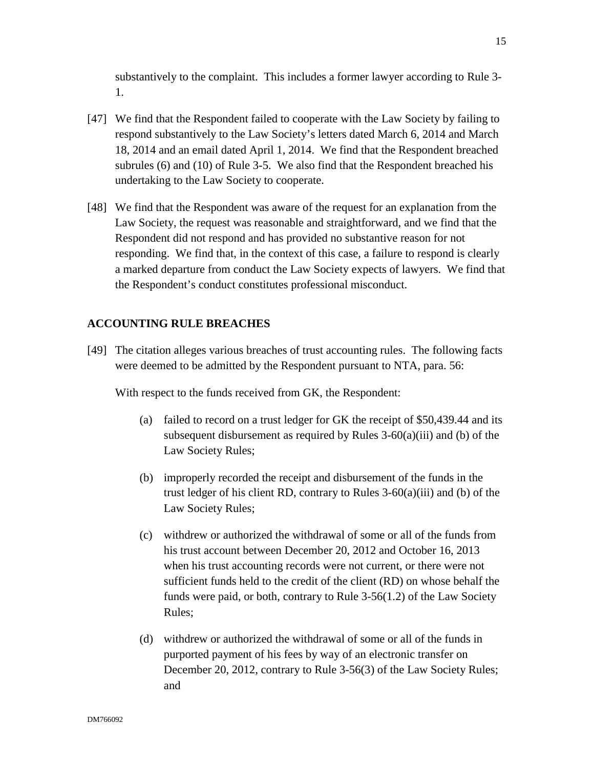substantively to the complaint. This includes a former lawyer according to Rule 3- 1.

- [47] We find that the Respondent failed to cooperate with the Law Society by failing to respond substantively to the Law Society's letters dated March 6, 2014 and March 18, 2014 and an email dated April 1, 2014. We find that the Respondent breached subrules (6) and (10) of Rule 3-5. We also find that the Respondent breached his undertaking to the Law Society to cooperate.
- [48] We find that the Respondent was aware of the request for an explanation from the Law Society, the request was reasonable and straightforward, and we find that the Respondent did not respond and has provided no substantive reason for not responding. We find that, in the context of this case, a failure to respond is clearly a marked departure from conduct the Law Society expects of lawyers. We find that the Respondent's conduct constitutes professional misconduct.

### **ACCOUNTING RULE BREACHES**

[49] The citation alleges various breaches of trust accounting rules. The following facts were deemed to be admitted by the Respondent pursuant to NTA, para. 56:

With respect to the funds received from GK, the Respondent:

- (a) failed to record on a trust ledger for GK the receipt of \$50,439.44 and its subsequent disbursement as required by Rules  $3-60(a)(iii)$  and (b) of the Law Society Rules;
- (b) improperly recorded the receipt and disbursement of the funds in the trust ledger of his client RD, contrary to Rules  $3-60(a)(iii)$  and (b) of the Law Society Rules;
- (c) withdrew or authorized the withdrawal of some or all of the funds from his trust account between December 20, 2012 and October 16, 2013 when his trust accounting records were not current, or there were not sufficient funds held to the credit of the client (RD) on whose behalf the funds were paid, or both, contrary to Rule 3-56(1.2) of the Law Society Rules;
- (d) withdrew or authorized the withdrawal of some or all of the funds in purported payment of his fees by way of an electronic transfer on December 20, 2012, contrary to Rule 3-56(3) of the Law Society Rules; and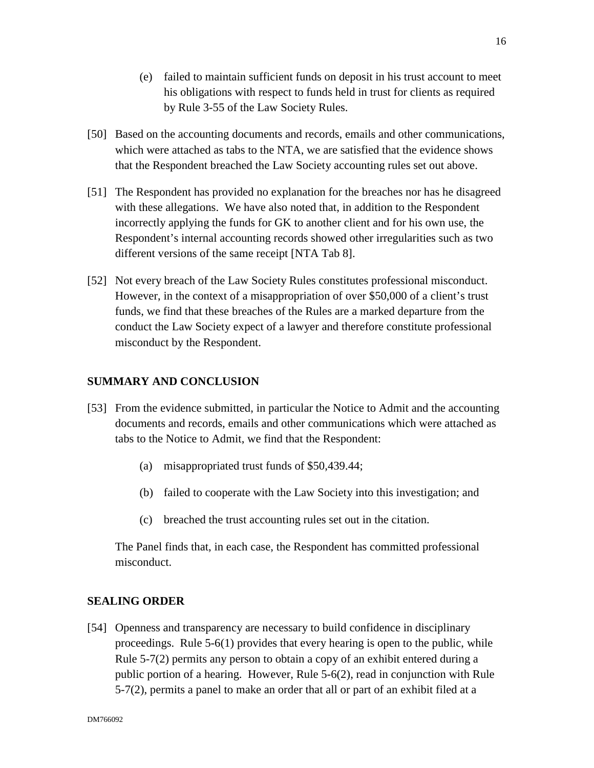- (e) failed to maintain sufficient funds on deposit in his trust account to meet his obligations with respect to funds held in trust for clients as required by Rule 3-55 of the Law Society Rules.
- [50] Based on the accounting documents and records, emails and other communications, which were attached as tabs to the NTA, we are satisfied that the evidence shows that the Respondent breached the Law Society accounting rules set out above.
- [51] The Respondent has provided no explanation for the breaches nor has he disagreed with these allegations. We have also noted that, in addition to the Respondent incorrectly applying the funds for GK to another client and for his own use, the Respondent's internal accounting records showed other irregularities such as two different versions of the same receipt [NTA Tab 8].
- [52] Not every breach of the Law Society Rules constitutes professional misconduct. However, in the context of a misappropriation of over \$50,000 of a client's trust funds, we find that these breaches of the Rules are a marked departure from the conduct the Law Society expect of a lawyer and therefore constitute professional misconduct by the Respondent.

### **SUMMARY AND CONCLUSION**

- [53] From the evidence submitted, in particular the Notice to Admit and the accounting documents and records, emails and other communications which were attached as tabs to the Notice to Admit, we find that the Respondent:
	- (a) misappropriated trust funds of \$50,439.44;
	- (b) failed to cooperate with the Law Society into this investigation; and
	- (c) breached the trust accounting rules set out in the citation.

The Panel finds that, in each case, the Respondent has committed professional misconduct.

### **SEALING ORDER**

[54] Openness and transparency are necessary to build confidence in disciplinary proceedings. Rule 5-6(1) provides that every hearing is open to the public, while Rule 5-7(2) permits any person to obtain a copy of an exhibit entered during a public portion of a hearing. However, Rule 5-6(2), read in conjunction with Rule 5-7(2), permits a panel to make an order that all or part of an exhibit filed at a